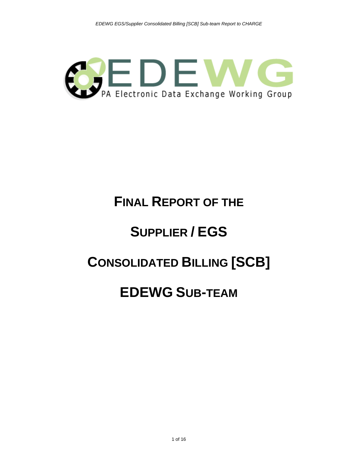

# **FINAL REPORT OF THE**

# **SUPPLIER / EGS**

### **CONSOLIDATED BILLING [SCB]**

### **EDEWG SUB-TEAM**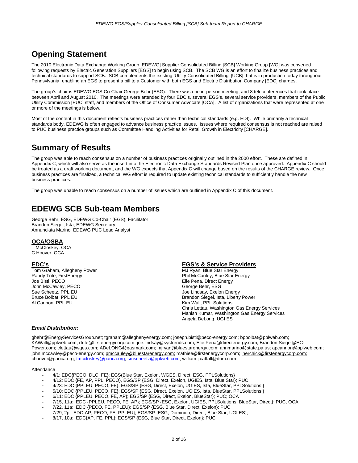### **Opening Statement**

The 2010 Electronic Data Exchange Working Group [EDEWG] Supplier Consolidated Billing [SCB] Working Group [WG] was convened following requests by Electric Generation Suppliers [EGS] to begin using SCB. The SCB WG is an effort to finalize business practices and technical standards to support SCB. SCB complements the existing 'Utility Consolidated Billing' [UCB] that is in production today throughout Pennsylvania, enabling an EGS to present a bill to a Customer with both EGS and Electric Distribution Company [EDC] charges.

The group's chair is EDEWG EGS Co-Chair George Behr (ESG). There was one in-person meeting, and 8 teleconferences that took place between April and August 2010. The meetings were attended by four EDC's, several EGS's, several service providers, members of the Public Utility Commission [PUC] staff, and members of the Office of Consumer Advocate [OCA]. A list of organizations that were represented at one or more of the meetings is below.

Most of the content in this document reflects business practices rather than technical standards (e.g. EDI). While primarily a technical standards body, EDEWG is often engaged to advance business practice issues. Issues where required consensus is not reached are raised to PUC business practice groups such as Committee Handling Activities for Retail Growth in Electricity [CHARGE].

### **Summary of Results**

The group was able to reach consensus on a number of business practices originally outlined in the 2000 effort. These are defined in Appendix C, which will also serve as the insert into the Electronic Data Exchange Standards Revised Plan once approved. Appendix C should be treated as a draft working document, and the WG expects that Appendix C will change based on the results of the CHARGE review. Once business practices are finalized, a technical WG effort is required to update existing technical standards to sufficiently handle the new business practices.

The group was unable to reach consensus on a number of issues which are outlined in Appendix C of this document.

### **EDEWG SCB Sub-team Members**

George Behr, ESG, EDEWG Co-Chair (EGS), Facilitator Brandon Siegel, Ista, EDEWG Secretary Annunciata Marino, EDEWG PUC Lead Analyst

#### **OCA/OSBA**

T McCloskey, OCA C Hoover, OCA

#### **EDC's**

Tom Graham, Allegheny Power Randy Trite, FirstEnergy Joe Bisti, PECO John McCawley, PECO Sue Scheetz, PPL EU Bruce Bolbat, PPL EU Al Cannon, PPL EU

#### **EGS's & Service Providers**

MJ Ryan, Blue Star Energy Phil McCauley, Blue Star Energy Elie Pena, Direct Energy George Behr, ESG Joe Lindsay, Exelon Energy Brandon Siegel, Ista, Liberty Power Kim Wall, PPL Solutions Chris Lettau, Washington Gas Energy Services Manish Kumar, Washington Gas Energy Services Angela DeLong, UGI ES

#### *Email Distribution:*

gbehr@EnergyServicesGroup.net; tgraham@alleghenyenergy.com; joseph.bisti@peco-energy.com; bpbolbat@pplweb.com; KAWall@pplweb.com; rtrite@firstenergycorp.com; joe.lindsay@systrends.com; Elie.Pena@directenergy.com; Brandon.Siegel@EC-Power.com; clettau@wges.com; ADeLONG@gasmark.com; mjryan@bluestarenergy.com; annmarino@state.pa.us; apcannon@pplweb.com; john.mccawley@peco-energy.com; pmccauley@bluestarenergy.com; mathiee@firstenergycorp.com; lherchick@firstenergycorp.com; choover@paoca.org; tmccloskey@paoca.org; smscheetz@pplweb.com; william.j.caffall@dom.com

Attendance

- 4/1: EDC{PECO, DLC, FE}; EGS(Blue Star, Exelon, WGES, Direct; ESG, PPLSolutions}
- 4/12: EDC {FE, AP, PPL, PECO}, EGS/SP {ESG, Direct, Exelon, UGIES, Ista, Blue Star}; PUC
- 4/23: EDC {PPLEU, PECO, FE}; EGS/SP {ESG, Direct, Exelon, UGIES, Ista, BlueStar, PPLSolutions }
- 5/10: EDC {PPLEU, PECO, FE}; EGS/SP {ESG, Direct, Exelon, UGIES, Ista, BlueStar, PPLSolutions }
- 6/11: EDC {PPLEU, PECO, FE, AP}; EGS/SP {ESG, Direct, Exelon, BlueStar}; PUC; OCA
- 7/15, 11a: EDC {PPLEU, PECO, FE, AP}; EGS/SP {ESG, Exelon, UGIES, PPLSolutions, BlueStar, Direct}; PUC, OCA
- 7/22, 11a: EDC {PECO, FE, PPLEU}; EGS/SP {ESG, Blue Star, Direct, Exelon}; PUC
- 7/29, 2p: EDC{AP, PECO, FE, PPLEU}; EGS/SP {ESG, Dominion, Direct, Blue Star, UGI ES};
- 8/17, 10a: EDC{AP, FE, PPL}; EGS/SP {ESG, Blue Star, Direct, Exelon}; PUC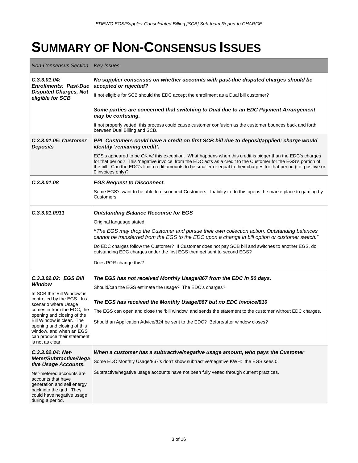### **SUMMARY OF NON-CONSENSUS ISSUES**

| <b>Non-Consensus Section</b>                                                                                      | <b>Key Issues</b>                                                                                                                                                                                                                                                                                                                                                           |
|-------------------------------------------------------------------------------------------------------------------|-----------------------------------------------------------------------------------------------------------------------------------------------------------------------------------------------------------------------------------------------------------------------------------------------------------------------------------------------------------------------------|
| C.3.3.01.04:<br><b>Enrollments: Past-Due</b>                                                                      | No supplier consensus on whether accounts with past-due disputed charges should be<br>accepted or rejected?                                                                                                                                                                                                                                                                 |
| <b>Disputed Charges, Not</b><br>eligible for SCB                                                                  | If not eligible for SCB should the EDC accept the enrollment as a Dual bill customer?                                                                                                                                                                                                                                                                                       |
|                                                                                                                   | Some parties are concerned that switching to Dual due to an EDC Payment Arrangement<br>may be confusing.                                                                                                                                                                                                                                                                    |
|                                                                                                                   | If not properly vetted, this process could cause customer confusion as the customer bounces back and forth<br>between Dual Billing and SCB.                                                                                                                                                                                                                                 |
| <b>C.3.3.01.05: Customer</b><br><b>Deposits</b>                                                                   | PPL Customers could have a credit on first SCB bill due to deposit/applied; charge would<br>identify 'remaining credit'.                                                                                                                                                                                                                                                    |
|                                                                                                                   | EGS's appeared to be OK w/ this exception. What happens when this credit is bigger than the EDC's charges<br>for that period? This 'negative invoice' from the EDC acts as a credit to the Customer for the EGS's portion of<br>the bill. Can the EDC's limit credit amounts to be smaller or equal to their charges for that period (i.e. positive or<br>0 invoices only)? |
| C.3.3.01.08                                                                                                       | <b>EGS Request to Disconnect.</b>                                                                                                                                                                                                                                                                                                                                           |
|                                                                                                                   | Some EGS's want to be able to disconnect Customers. Inability to do this opens the marketplace to gaming by<br>Customers.                                                                                                                                                                                                                                                   |
| C.3.3.01.0911                                                                                                     | <b>Outstanding Balance Recourse for EGS</b>                                                                                                                                                                                                                                                                                                                                 |
|                                                                                                                   | Original language stated:                                                                                                                                                                                                                                                                                                                                                   |
|                                                                                                                   | "The EGS may drop the Customer and pursue their own collection action. Outstanding balances<br>cannot be transferred from the EGS to the EDC upon a change in bill option or customer switch."                                                                                                                                                                              |
|                                                                                                                   | Do EDC charges follow the Customer? If Customer does not pay SCB bill and switches to another EGS, do<br>outstanding EDC charges under the first EGS then get sent to second EGS?                                                                                                                                                                                           |
|                                                                                                                   | Does POR change this?                                                                                                                                                                                                                                                                                                                                                       |
| C.3.3.02.02: EGS Bill                                                                                             | The EGS has not received Monthly Usage/867 from the EDC in 50 days.                                                                                                                                                                                                                                                                                                         |
| Window                                                                                                            | Should/can the EGS estimate the usage? The EDC's charges?                                                                                                                                                                                                                                                                                                                   |
| In SCB the 'Bill Window' is<br>controlled by the EGS. In a<br>scenario where Usage                                | The EGS has received the Monthly Usage/867 but no EDC Invoice/810                                                                                                                                                                                                                                                                                                           |
| comes in from the EDC, the                                                                                        | The EGS can open and close the 'bill window' and sends the statement to the customer without EDC charges.                                                                                                                                                                                                                                                                   |
| opening and closing of the<br>Bill Window is clear. The<br>opening and closing of this<br>window, and when an EGS | Should an Application Advice/824 be sent to the EDC? Before/after window closes?                                                                                                                                                                                                                                                                                            |
| can produce their statement<br>is not as clear.                                                                   |                                                                                                                                                                                                                                                                                                                                                                             |
| C.3.3.02.04: Net-                                                                                                 | When a customer has a subtractive/negative usage amount, who pays the Customer                                                                                                                                                                                                                                                                                              |
| Meter/Subtractive/Nega<br>tive Usage Accounts.                                                                    | Some EDC Monthly Usage/867's don't show subtractive/negative KWH: the EGS sees 0.                                                                                                                                                                                                                                                                                           |
| Net-metered accounts are<br>accounts that have                                                                    | Subtractive/negative usage accounts have not been fully vetted through current practices.                                                                                                                                                                                                                                                                                   |
| generation and sell energy                                                                                        |                                                                                                                                                                                                                                                                                                                                                                             |
| back into the grid. They<br>could have negative usage<br>during a period.                                         |                                                                                                                                                                                                                                                                                                                                                                             |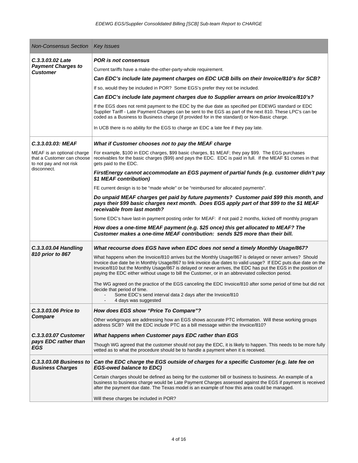| <b>Non-Consensus Section</b>                                                                                            | <b>Key Issues</b>                                                                                                                                                                                                                                                                                                                                                                                                                                                                                                                                                                                                                                                                                                                                                                                                                                                                                                                                                                                                       |
|-------------------------------------------------------------------------------------------------------------------------|-------------------------------------------------------------------------------------------------------------------------------------------------------------------------------------------------------------------------------------------------------------------------------------------------------------------------------------------------------------------------------------------------------------------------------------------------------------------------------------------------------------------------------------------------------------------------------------------------------------------------------------------------------------------------------------------------------------------------------------------------------------------------------------------------------------------------------------------------------------------------------------------------------------------------------------------------------------------------------------------------------------------------|
| C.3.3.03.02 Late<br><b>Payment Charges to</b><br><b>Customer</b>                                                        | <b>POR</b> is not consensus<br>Current tariffs have a make-the-other-party-whole requirement.<br>Can EDC's include late payment charges on EDC UCB bills on their Invoice/810's for SCB?<br>If so, would they be included in POR? Some EGS's prefer they not be included.<br>Can EDC's include late payment charges due to Supplier arrears on prior Invoice/810's?<br>If the EGS does not remit payment to the EDC by the due date as specified per EDEWG standard or EDC<br>Supplier Tariff - Late Payment Charges can be sent to the EGS as part of the next 810. These LPC's can be<br>coded as a Business to Business charge (if provided for in the standard) or Non-Basic charge.<br>In UCB there is no ability for the EGS to charge an EDC a late fee if they pay late.                                                                                                                                                                                                                                        |
| C.3.3.03.03: MEAF<br>MEAF is an optional charge<br>that a Customer can choose<br>to not pay and not risk<br>disconnect. | What if Customer chooses not to pay the MEAF charge<br>For example, \$100 in EDC charges, \$99 basic charges, \$1 MEAF; they pay \$99. The EGS purchases<br>receivables for the basic charges (\$99) and pays the EDC. EDC is paid in full. If the MEAF \$1 comes in that<br>gets paid to the EDC.<br>FirstEnergy cannot accommodate an EGS payment of partial funds (e.g. customer didn't pay<br>\$1 MEAF contribution)<br>FE current design is to be "made whole" or be "reimbursed for allocated payments".<br>Do unpaid MEAF charges get paid by future payments? Customer paid \$99 this month, and<br>pays their \$99 basic charges next month. Does EGS apply part of that \$99 to the \$1 MEAF<br>receivable from last month?<br>Some EDC's have last-in payment posting order for MEAF: if not paid 2 months, kicked off monthly program<br>How does a one-time MEAF payment (e.g. \$25 once) this get allocated to MEAF? The<br>Customer makes a one-time MEAF contribution: sends \$25 more than their bill. |
| C.3.3.03.04 Handling<br>810 prior to 867                                                                                | What recourse does EGS have when EDC does not send a timely Monthly Usage/867?<br>What happens when the Invoice/810 arrives but the Monthly Usage/867 is delayed or never arrives? Should<br>Invoice due date be in Monthly Usage/867 to link invoice due dates to valid usage? If EDC puts due date on the<br>Invoice/810 but the Monthly Usage/867 is delayed or never arrives, the EDC has put the EGS in the position of<br>paying the EDC either without usage to bill the Customer, or in an abbreviated collection period.<br>The WG agreed on the practice of the EGS canceling the EDC Invoice/810 after some period of time but did not<br>decide that period of time.<br>Some EDC's send interval data 2 days after the Invoice/810<br>4 days was suggested                                                                                                                                                                                                                                                  |
| C.3.3.03.06 Price to<br>Compare                                                                                         | How does EGS show "Price To Compare"?<br>Other workgroups are addressing how an EGS shows accurate PTC information. Will these working groups<br>address SCB? Will the EDC include PTC as a bill message within the Invoice/810?                                                                                                                                                                                                                                                                                                                                                                                                                                                                                                                                                                                                                                                                                                                                                                                        |
| <b>C.3.3.03.07 Customer</b><br>pays EDC rather than<br>EGS                                                              | What happens when Customer pays EDC rather than EGS<br>Though WG agreed that the customer should not pay the EDC, it is likely to happen. This needs to be more fully<br>vetted as to what the procedure should be to handle a payment when it is received.                                                                                                                                                                                                                                                                                                                                                                                                                                                                                                                                                                                                                                                                                                                                                             |
| <b>C.3.3.03.08 Business to</b><br><b>Business Charges</b>                                                               | Can the EDC charge the EGS outside of charges for a specific Customer (e.g. late fee on<br><b>EGS-owed balance to EDC)</b><br>Certain charges should be defined as being for the customer bill or business to business. An example of a<br>business to business charge would be Late Payment Charges assessed against the EGS if payment is received<br>after the payment due date. The Texas model is an example of how this area could be managed.<br>Will these charges be included in POR?                                                                                                                                                                                                                                                                                                                                                                                                                                                                                                                          |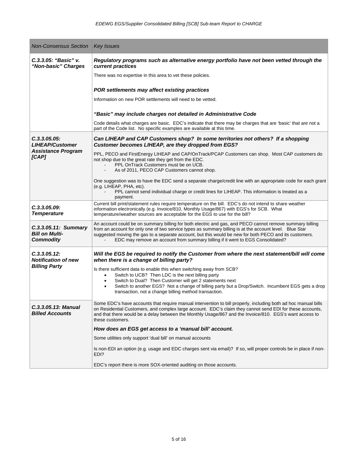| <b>Non-Consensus Section</b>                                      | <b>Key Issues</b>                                                                                                                                                                                                                                                                                                                                                                                               |
|-------------------------------------------------------------------|-----------------------------------------------------------------------------------------------------------------------------------------------------------------------------------------------------------------------------------------------------------------------------------------------------------------------------------------------------------------------------------------------------------------|
| C.3.3.05: "Basic" v.<br>"Non-basic" Charges                       | Regulatory programs such as alternative energy portfolio have not been vetted through the<br>current practices                                                                                                                                                                                                                                                                                                  |
|                                                                   | There was no expertise in this area to vet these policies.                                                                                                                                                                                                                                                                                                                                                      |
|                                                                   | POR settlements may affect existing practices                                                                                                                                                                                                                                                                                                                                                                   |
|                                                                   | Information on new POR settlements will need to be vetted.                                                                                                                                                                                                                                                                                                                                                      |
|                                                                   | "Basic" may include charges not detailed in Administrative Code                                                                                                                                                                                                                                                                                                                                                 |
|                                                                   | Code details what charges are basic. EDC's indicate that there may be charges that are 'basic' that are not a<br>part of the Code list. No specific examples are available at this time.                                                                                                                                                                                                                        |
| C.3.3.05.05:<br><b>LIHEAP/Customer</b>                            | Can LIHEAP and CAP Customers shop? In some territories not others? If a shopping<br>Customer becomes LIHEAP, are they dropped from EGS?                                                                                                                                                                                                                                                                         |
| <b>Assistance Program</b><br>[CAP]                                | PPL, PECO and FirstEnergy LIHEAP and CAP/OnTrack/PCAP Customers can shop. Most CAP customers do<br>not shop due to the great rate they get from the EDC.<br>PPL OnTrack Customers must be on UCB.<br>As of 2011, PECO CAP Customers cannot shop.                                                                                                                                                                |
|                                                                   | One suggestion was to have the EDC send a separate charge/credit line with an appropriate code for each grant<br>(e.g. LIHEAP, PHA, etc).<br>PPL cannot send individual charge or credit lines for LIHEAP. This information is treated as a<br>payment.                                                                                                                                                         |
| C.3.3.05.09:<br><b>Temperature</b>                                | Current bill print/statement rules require temperature on the bill. EDC's do not intend to share weather<br>information electronically (e.g. Invoice/810, Monthly Usage/867) with EGS's for SCB. What<br>temperature/weather sources are acceptable for the EGS to use for the bill?                                                                                                                            |
| C.3.3.05.11: Summary<br><b>Bill on Multi-</b><br><b>Commodity</b> | An account could be on summary billing for both electric and gas, and PECO cannot remove summary billing<br>from an account for only one of two service types as summary billing is at the account level. Blue Star<br>suggested moving the gas to a separate account, but this would be new for both PECO and its customers.<br>EDC may remove an account from summary billing if it went to EGS Consolidated? |
| C.3.3.05.12:<br><b>Notification of new</b>                        | Will the EGS be required to notify the Customer from where the next statement/bill will come<br>when there is a change of billing party?                                                                                                                                                                                                                                                                        |
| <b>Billing Party</b>                                              | Is there sufficient data to enable this when switching away from SCB?<br>Switch to UCB? Then LDC is the next billing party<br>$\bullet$<br>Switch to Dual? Then Customer will get 2 statements next<br>Switch to another EGS? Not a change of billing party but a Drop/Switch. Incumbent EGS gets a drop<br>$\bullet$<br>transaction, not a change billing method transaction.                                  |
| C.3.3.05.13: Manual<br><b>Billed Accounts</b>                     | Some EDC's have accounts that require manual intervention to bill properly, including both ad hoc manual bills<br>on Residential Customers, and complex large account. EDC's claim they cannot send EDI for these accounts,<br>and that there would be a delay between the Monthly Usage/867 and the Invoice/810. EGS's want access to<br>these customers.                                                      |
|                                                                   | How does an EGS get access to a 'manual bill' account.                                                                                                                                                                                                                                                                                                                                                          |
|                                                                   | Some utilities only support 'dual bill' on manual accounts                                                                                                                                                                                                                                                                                                                                                      |
|                                                                   | Is non-EDI an option (e.g. usage and EDC charges sent via email)? If so, will proper controls be in place if non-<br>EDI?                                                                                                                                                                                                                                                                                       |
|                                                                   | EDC's report there is more SOX-oriented auditing on those accounts.                                                                                                                                                                                                                                                                                                                                             |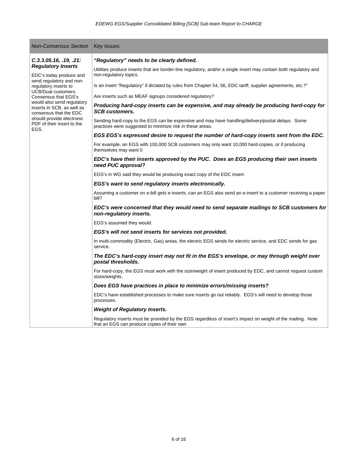| <b>Non-Consensus Section</b>                                                                                                        | <b>Key Issues</b>                                                                                                                                             |
|-------------------------------------------------------------------------------------------------------------------------------------|---------------------------------------------------------------------------------------------------------------------------------------------------------------|
| C.3.3.05.16, .19, .21:<br><b>Regulatory Inserts</b><br>EDC's today produce and<br>send regulatory and non-<br>regulatory inserts to | "Regulatory" needs to be clearly defined.                                                                                                                     |
|                                                                                                                                     | Utilities produce inserts that are border-line regulatory, and/or a single insert may contain both regulatory and<br>non-regulatory topics.                   |
|                                                                                                                                     | Is an insert "Regulatory" if dictated by rules from Chapter 54, 56, EDC tariff, supplier agreements, etc.?"                                                   |
| <b>UCB/Dual customers.</b><br>Consensus that EGS's                                                                                  | Are inserts such as MEAF signups considered regulatory?                                                                                                       |
| would also send regulatory<br>inserts in SCB, as well as<br>consensus that the EDC                                                  | Producing hard-copy inserts can be expensive, and may already be producing hard-copy for<br><b>SCB customers.</b>                                             |
| should provide electronic<br>PDF of their insert to the<br>EGS.                                                                     | Sending hard-copy to the EGS can be expensive and may have handling/delivery/postal delays. Some<br>practices were suggested to minimize risk in these areas. |
|                                                                                                                                     | EGS EGS's expressed desire to request the number of hard-copy inserts sent from the EDC.                                                                      |
|                                                                                                                                     | For example, an EGS with 100,000 SCB customers may only want 10,000 hard-copies, or if producing<br>themselves may want 0                                     |
|                                                                                                                                     | EDC's have their inserts approved by the PUC. Does an EGS producing their own inserts<br>need PUC approval?                                                   |
|                                                                                                                                     | EGS's in WG said they would be producing exact copy of the EDC insert.                                                                                        |
|                                                                                                                                     | EGS's want to send regulatory inserts electronically.                                                                                                         |
|                                                                                                                                     | Assuming a customer on e-bill gets e-inserts, can an EGS also send an e-insert to a customer receiving a paper<br>bill?                                       |
|                                                                                                                                     | EDC's were concerned that they would need to send separate mailings to SCB customers for<br>non-regulatory inserts.                                           |
|                                                                                                                                     | EGS's assumed they would.                                                                                                                                     |
|                                                                                                                                     | EGS's will not send inserts for services not provided.                                                                                                        |
|                                                                                                                                     | In multi-commodity (Electric, Gas) areas, the electric EGS sends for electric service, and EDC sends for gas<br>service.                                      |
|                                                                                                                                     | The EDC's hard-copy insert may not fit in the EGS's envelope, or may through weight over<br>postal thresholds.                                                |
|                                                                                                                                     | For hard-copy, the EGS must work with the size/weight of insert produced by EDC, and cannot request custom<br>sizes/weights.                                  |
|                                                                                                                                     | Does EGS have practices in place to minimize errors/missing inserts?                                                                                          |
|                                                                                                                                     | EDC's have established processes to make sure inserts go out reliably. EGS's will need to develop those<br>processes.                                         |
|                                                                                                                                     | <b>Weight of Regulatory Inserts.</b>                                                                                                                          |
|                                                                                                                                     | Regulatory inserts must be provided by the EGS regardless of insert's impact on weight of the mailing. Note<br>that an EGS can produce copies of their own    |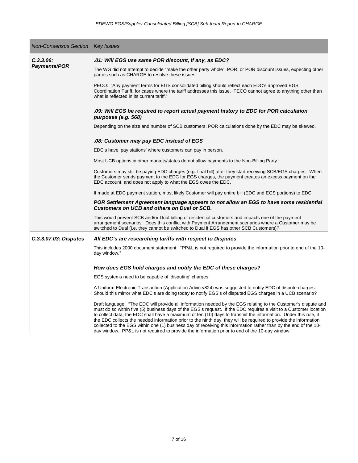| <b>Non-Consensus Section</b>     | <b>Key Issues</b>                                                                                                                                                                                                                                                                                                                                                                                                                                                                                                                                                                                                                                                                                 |
|----------------------------------|---------------------------------------------------------------------------------------------------------------------------------------------------------------------------------------------------------------------------------------------------------------------------------------------------------------------------------------------------------------------------------------------------------------------------------------------------------------------------------------------------------------------------------------------------------------------------------------------------------------------------------------------------------------------------------------------------|
| C.3.3.06:<br><b>Payments/POR</b> | .01: Will EGS use same POR discount, if any, as EDC?                                                                                                                                                                                                                                                                                                                                                                                                                                                                                                                                                                                                                                              |
|                                  | The WG did not attempt to decide "make the other party whole", POR, or POR discount issues, expecting other<br>parties such as CHARGE to resolve these issues.                                                                                                                                                                                                                                                                                                                                                                                                                                                                                                                                    |
|                                  | PECO: "Any payment terms for EGS consolidated billing should reflect each EDC's approved EGS<br>Coordination Tariff, for cases where the tariff addresses this issue. PECO cannot agree to anything other than<br>what is reflected in its current tariff."                                                                                                                                                                                                                                                                                                                                                                                                                                       |
|                                  | .09: Will EGS be required to report actual payment history to EDC for POR calculation<br>purposes (e.g. 568)                                                                                                                                                                                                                                                                                                                                                                                                                                                                                                                                                                                      |
|                                  | Depending on the size and number of SCB customers, POR calculations done by the EDC may be skewed.                                                                                                                                                                                                                                                                                                                                                                                                                                                                                                                                                                                                |
|                                  | .08: Customer may pay EDC instead of EGS                                                                                                                                                                                                                                                                                                                                                                                                                                                                                                                                                                                                                                                          |
|                                  | EDC's have 'pay stations' where customers can pay in person.                                                                                                                                                                                                                                                                                                                                                                                                                                                                                                                                                                                                                                      |
|                                  | Most UCB options in other markets/states do not allow payments to the Non-Billing Party.                                                                                                                                                                                                                                                                                                                                                                                                                                                                                                                                                                                                          |
|                                  | Customers may still be paying EDC charges (e.g. final bill) after they start receiving SCB/EGS charges. When<br>the Customer sends payment to the EDC for EGS charges, the payment creates an excess payment on the<br>EDC account, and does not apply to what the EGS owes the EDC.                                                                                                                                                                                                                                                                                                                                                                                                              |
|                                  | If made at EDC payment station, most likely Customer will pay entire bill (EDC and EGS portions) to EDC                                                                                                                                                                                                                                                                                                                                                                                                                                                                                                                                                                                           |
|                                  | POR Settlement Agreement language appears to not allow an EGS to have some residential<br>Customers on UCB and others on Dual or SCB.                                                                                                                                                                                                                                                                                                                                                                                                                                                                                                                                                             |
|                                  | This would prevent SCB and/or Dual billing of residential customers and impacts one of the payment<br>arrangement scenarios. Does this conflict with Payment Arrangement scenarios where a Customer may be<br>switched to Dual (i.e. they cannot be switched to Dual if EGS has other SCB Customers)?                                                                                                                                                                                                                                                                                                                                                                                             |
| C.3.3.07.03: Disputes            | All EDC's are researching tariffs with respect to Disputes                                                                                                                                                                                                                                                                                                                                                                                                                                                                                                                                                                                                                                        |
|                                  | This includes 2000 document statement: "PP&L is not required to provide the information prior to end of the 10-<br>day window."                                                                                                                                                                                                                                                                                                                                                                                                                                                                                                                                                                   |
|                                  | How does EGS hold charges and notify the EDC of these charges?                                                                                                                                                                                                                                                                                                                                                                                                                                                                                                                                                                                                                                    |
|                                  | EGS systems need to be capable of 'disputing' charges.                                                                                                                                                                                                                                                                                                                                                                                                                                                                                                                                                                                                                                            |
|                                  | A Uniform Electronic Transaction (Application Advice/824) was suggested to notify EDC of dispute charges.<br>Should this mirror what EDC's are doing today to notify EGS's of disputed EGS charges in a UCB scenario?                                                                                                                                                                                                                                                                                                                                                                                                                                                                             |
|                                  | Draft language: "The EDC will provide all information needed by the EGS relating to the Customer's dispute and<br>must do so within five (5) business days of the EGS's request. If the EDC requires a visit to a Customer location<br>to collect data, the EDC shall have a maximum of ten (10) days to transmit the information. Under this rule, if<br>the EDC collects the needed information prior to the ninth day, they will be required to provide the information<br>collected to the EGS within one (1) business day of receiving this information rather than by the end of the 10-<br>day window. PP&L is not required to provide the information prior to end of the 10-day window." |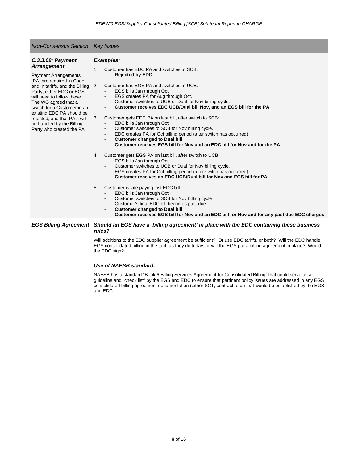| <b>Non-Consensus Section</b>                                                                                                                                                                                                                                                                                                                                                    | <b>Key Issues</b>                                                                                                                                                                                                                                                                                                                                                                                                                                                                                                                                                                                                                                                                                                                                                                                                                                                                                                                                                                                                                                                                                                                                                                                                                                                                                                                                                           |  |
|---------------------------------------------------------------------------------------------------------------------------------------------------------------------------------------------------------------------------------------------------------------------------------------------------------------------------------------------------------------------------------|-----------------------------------------------------------------------------------------------------------------------------------------------------------------------------------------------------------------------------------------------------------------------------------------------------------------------------------------------------------------------------------------------------------------------------------------------------------------------------------------------------------------------------------------------------------------------------------------------------------------------------------------------------------------------------------------------------------------------------------------------------------------------------------------------------------------------------------------------------------------------------------------------------------------------------------------------------------------------------------------------------------------------------------------------------------------------------------------------------------------------------------------------------------------------------------------------------------------------------------------------------------------------------------------------------------------------------------------------------------------------------|--|
| C.3.3.09: Payment<br><b>Arrangement</b><br><b>Payment Arrangements</b><br>[PA] are required in Code<br>and in tariffs, and the Billing<br>Party, either EDC or EGS,<br>will need to follow these.<br>The WG agreed that a<br>switch for a Customer in an<br>existing EDC PA should be<br>rejected, and that PA's will<br>be handled by the Billing<br>Party who created the PA. | <b>Examples:</b><br>1 <sub>1</sub><br>Customer has EDC PA and switches to SCB:<br><b>Rejected by EDC</b><br>Customer has EGS PA and switches to UCB:<br>2.<br>EGS bills Jan through Oct<br>EGS creates PA for Aug through Oct.<br>Customer switches to UCB or Dual for Nov billing cycle.<br>$\sim$<br>Customer receives EDC UCB/Dual bill Nov, and an EGS bill for the PA<br>3.<br>Customer gets EDC PA on last bill, after switch to SCB:<br>EDC bills Jan through Oct.<br>Customer switches to SCB for Nov billing cycle.<br>EDC creates PA for Oct billing period (after switch has occurred)<br><b>Customer changed to Dual bill</b><br>$\blacksquare$<br>Customer receives EGS bill for Nov and an EDC bill for Nov and for the PA<br>4.<br>Customer gets EGS PA on last bill, after switch to UCB:<br>EGS bills Jan through Oct.<br>Customer switches to UCB or Dual for Nov billing cycle.<br>EGS creates PA for Oct billing period (after switch has occurred)<br>Customer receives an EDC UCB/Dual bill for Nov and EGS bill for PA<br>5.<br>Customer is late paying last EDC bill:<br>EDC bills Jan through Oct<br>Customer switches to SCB for Nov billing cycle<br>Customer's final EDC bill becomes past due<br><b>Customer changed to Dual bill</b><br>Customer receives EGS bill for Nov and an EDC bill for Nov and for any past due EDC charges<br>$\sim$ |  |
| <b>EGS Billing Agreement</b>                                                                                                                                                                                                                                                                                                                                                    | Should an EGS have a 'billing agreement' in place with the EDC containing these business<br>rules?<br>Will additions to the EDC supplier agreement be sufficient? Or use EDC tariffs, or both? Will the EDC handle<br>EGS consolidated billing in the tariff as they do today, or will the EGS put a billing agreement in place? Would<br>the EDC sign?                                                                                                                                                                                                                                                                                                                                                                                                                                                                                                                                                                                                                                                                                                                                                                                                                                                                                                                                                                                                                     |  |
|                                                                                                                                                                                                                                                                                                                                                                                 | Use of NAESB standard.<br>NAESB has a standard "Book 6 Billing Services Agreement for Consolidated Billing" that could serve as a<br>guideline and "check list" by the EGS and EDC to ensure that pertinent policy issues are addressed in any EGS<br>consolidated billing agreement documentation (either SCT, contract, etc.) that would be established by the EGS<br>and EDC.                                                                                                                                                                                                                                                                                                                                                                                                                                                                                                                                                                                                                                                                                                                                                                                                                                                                                                                                                                                            |  |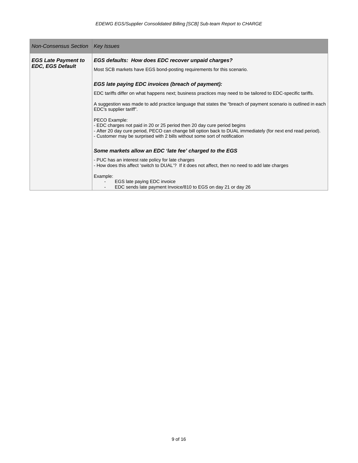| <b>Non-Consensus Section</b>                          | <b>Key Issues</b>                                                                                                                                                                                                                                                                       |
|-------------------------------------------------------|-----------------------------------------------------------------------------------------------------------------------------------------------------------------------------------------------------------------------------------------------------------------------------------------|
| <b>EGS Late Payment to</b><br><b>EDC, EGS Default</b> | EGS defaults: How does EDC recover unpaid charges?<br>Most SCB markets have EGS bond-posting requirements for this scenario.                                                                                                                                                            |
|                                                       | EGS late paying EDC invoices (breach of payment):                                                                                                                                                                                                                                       |
|                                                       | EDC tariffs differ on what happens next; business practices may need to be tailored to EDC-specific tariffs.                                                                                                                                                                            |
|                                                       | A suggestion was made to add practice language that states the "breach of payment scenario is outlined in each<br>EDC's supplier tariff".                                                                                                                                               |
|                                                       | PECO Example:<br>- EDC charges not paid in 20 or 25 period then 20 day cure period begins<br>- After 20 day cure period, PECO can change bill option back to DUAL immediately (for next end read period).<br>- Customer may be surprised with 2 bills without some sort of notification |
|                                                       | Some markets allow an EDC 'late fee' charged to the EGS                                                                                                                                                                                                                                 |
|                                                       | - PUC has an interest rate policy for late charges<br>- How does this affect 'switch to DUAL'? If it does not affect, then no need to add late charges                                                                                                                                  |
|                                                       | Example:<br>EGS late paying EDC invoice<br>EDC sends late payment Invoice/810 to EGS on day 21 or day 26                                                                                                                                                                                |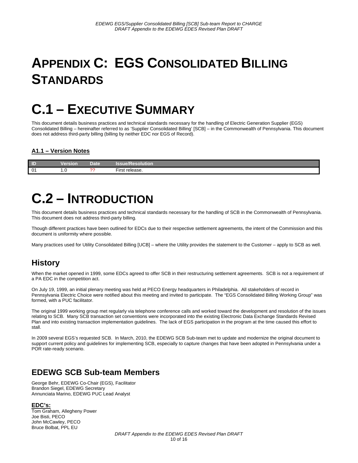# **APPENDIX C: EGS CONSOLIDATED BILLING STANDARDS**

# **C.1 – EXECUTIVE SUMMARY**

This document details business practices and technical standards necessary for the handling of Electric Generation Supplier (EGS) Consolidated Billing – hereinafter referred to as 'Supplier Consolidated Billing' [SCB] – in the Commonwealth of Pennsylvania. This document does not address third-party billing (billing by neither EDC nor EGS of Record).

#### **A1.1 – Version Notes**

| $\Box$         | /ersion<br>_______      | Date   | <b>Issue/Resolution</b>             |
|----------------|-------------------------|--------|-------------------------------------|
| 0 <sup>1</sup> | $\cdot \cdot$<br>$\sim$ | $\sim$ | <u>.</u><br>release.<br>'−ırsı<br>. |

### **C.2 – INTRODUCTION**

This document details business practices and technical standards necessary for the handling of SCB in the Commonwealth of Pennsylvania. This document does not address third-party billing.

Though different practices have been outlined for EDCs due to their respective settlement agreements, the intent of the Commission and this document is uniformity where possible.

Many practices used for Utility Consolidated Billing [UCB] – where the Utility provides the statement to the Customer – apply to SCB as well.

### **History**

When the market opened in 1999, some EDCs agreed to offer SCB in their restructuring settlement agreements. SCB is not a requirement of a PA EDC in the competition act.

On July 19, 1999, an initial plenary meeting was held at PECO Energy headquarters in Philadelphia. All stakeholders of record in Pennsylvania Electric Choice were notified about this meeting and invited to participate. The "EGS Consolidated Billing Working Group" was formed, with a PUC facilitator.

The original 1999 working group met regularly via telephone conference calls and worked toward the development and resolution of the issues relating to SCB. Many SCB transaction set conventions were incorporated into the existing Electronic Data Exchange Standards Revised Plan and into existing transaction implementation guidelines. The lack of EGS participation in the program at the time caused this effort to stall.

In 2009 several EGS's requested SCB. In March, 2010, the EDEWG SCB Sub-team met to update and modernize the original document to support current policy and guidelines for implementing SCB, especially to capture changes that have been adopted in Pennsylvania under a POR rate-ready scenario.

### **EDEWG SCB Sub-team Members**

George Behr, EDEWG Co-Chair (EGS), Facilitator Brandon Siegel, EDEWG Secretary Annunciata Marino, EDEWG PUC Lead Analyst

**EDC's:** Tom Graham, Allegheny Power Joe Bisti, PECO John McCawley, PECO Bruce Bolbat, PPL EU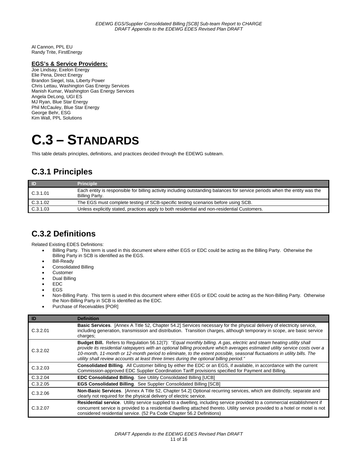Al Cannon, PPL EU Randy Trite, FirstEnergy

#### **EGS's & Service Providers:**

Joe Lindsay, Exelon Energy Elie Pena, Direct Energy Brandon Siegel, Ista, Liberty Power Chris Lettau, Washington Gas Energy Services Manish Kumar, Washington Gas Energy Services Angela DeLong, UGI ES MJ Ryan, Blue Star Energy Phil McCauley, Blue Star Energy George Behr, ESG Kim Wall, PPL Solutions

### **C.3 – STANDARDS**

This table details principles, definitions, and practices decided through the EDEWG subteam.

### **C.3.1 Principles**

| / ID     | <b>Principle</b>                                                                                                                             |
|----------|----------------------------------------------------------------------------------------------------------------------------------------------|
| C.3.1.01 | Each entity is responsible for billing activity including outstanding balances for service periods when the entity was the<br>Billing Party. |
| C.3.1.02 | The EGS must complete testing of SCB-specific testing scenarios before using SCB.                                                            |
| C.3.1.03 | Unless explicitly stated, practices apply to both residential and non-residential Customers.                                                 |

#### **C.3.2 Definitions**

Related Existing EDES Definitions:

- Billing Party. This term is used in this document where either EGS or EDC could be acting as the Billing Party. Otherwise the Billing Party in SCB is identified as the EGS.
- Bill-Ready
- Consolidated Billing
- Customer
- Dual Billing
- EDC
- EGS
- Non-Billing Party. This term is used in this document where either EGS or EDC could be acting as the Non-Billing Party. Otherwise the Non-Billing Party in SCB is identified as the EDC.
- Purchase of Receivables [POR]

| ID       | <b>Definition</b>                                                                                                                                                                                                                                                                                                                                                                                                                                                        |
|----------|--------------------------------------------------------------------------------------------------------------------------------------------------------------------------------------------------------------------------------------------------------------------------------------------------------------------------------------------------------------------------------------------------------------------------------------------------------------------------|
| C.3.2.01 | Basic Services. [Annex A Title 52, Chapter 54.2] Services necessary for the physical delivery of electricity service,<br>including generation, transmission and distribution. Transition charges, although temporary in scope, are basic service<br>charges;                                                                                                                                                                                                             |
| C.3.2.02 | Budget Bill. Refers to Regulation 56.12(7): "Equal monthly billing. A gas, electric and steam heating utility shall<br>provide its residential ratepayers with an optional billing procedure which averages estimated utility service costs over a<br>10-month, 11-month or 12-month period to eliminate, to the extent possible, seasonal fluctuations in utility bills. The<br>utility shall review accounts at least three times during the optional billing period." |
| C.3.2.03 | Consolidated Billing. All Customer billing by either the EDC or an EGS, if available, in accordance with the current<br>Commission-approved EDC Supplier Coordination Tariff provisions specified for Payment and Billing.                                                                                                                                                                                                                                               |
| C.3.2.04 | <b>EDC Consolidated Billing.</b> See Utility Consolidated Billing [UCB]                                                                                                                                                                                                                                                                                                                                                                                                  |
| C.3.2.05 | EGS Consolidated Billing. See Supplier Consolidated Billing [SCB]                                                                                                                                                                                                                                                                                                                                                                                                        |
| C.3.2.06 | Non-Basic Services. [Annex A Title 52, Chapter 54.2] Optional recurring services, which are distinctly, separate and<br>clearly not required for the physical delivery of electric service.                                                                                                                                                                                                                                                                              |
| C.3.2.07 | Residential service. Utility service supplied to a dwelling, including service provided to a commercial establishment if<br>concurrent service is provided to a residential dwelling attached thereto. Utility service provided to a hotel or motel is not<br>considered residential service. (52 Pa Code Chapter 56.2 Definitions)                                                                                                                                      |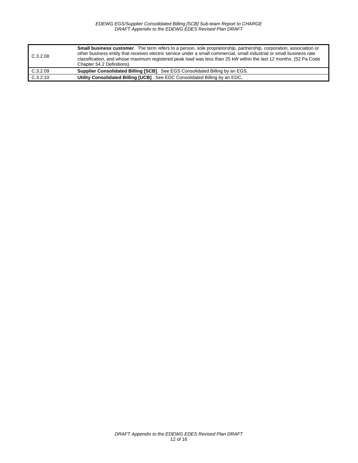| C.3.2.08 | <b>Small business customer.</b> The term refers to a person, sole proprietorship, partnership, corporation, association or<br>other business entity that receives electric service under a small commercial, small industrial or small business rate<br>classification, and whose maximum registered peak load was less than 25 kW within the last 12 months. (52 Pa Code<br>Chapter 54.2 Definitions) |
|----------|--------------------------------------------------------------------------------------------------------------------------------------------------------------------------------------------------------------------------------------------------------------------------------------------------------------------------------------------------------------------------------------------------------|
| C.3.2.09 | Supplier Consolidated Billing [SCB]. See EGS Consolidated Billing by an EGS.                                                                                                                                                                                                                                                                                                                           |
| C.3.2.10 | Utility Consolidated Billing [UCB]. See EDC Consolidated Billing by an EDC.                                                                                                                                                                                                                                                                                                                            |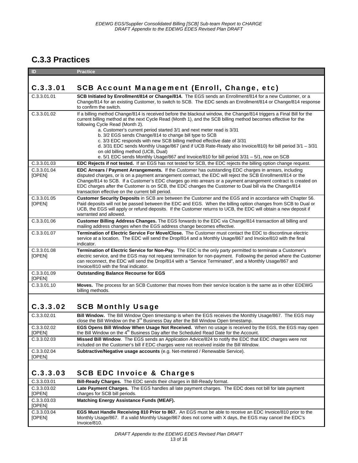### **C.3.3 Practices**

| ID                    | <b>Practice</b>                                                                                                                                                                                                                                                                                                                                                                                                                                                                                                                                                                                                                                                                                                                      |
|-----------------------|--------------------------------------------------------------------------------------------------------------------------------------------------------------------------------------------------------------------------------------------------------------------------------------------------------------------------------------------------------------------------------------------------------------------------------------------------------------------------------------------------------------------------------------------------------------------------------------------------------------------------------------------------------------------------------------------------------------------------------------|
|                       |                                                                                                                                                                                                                                                                                                                                                                                                                                                                                                                                                                                                                                                                                                                                      |
| C.3.3.01              | <b>SCB Account Management (Enroll, Change, etc)</b>                                                                                                                                                                                                                                                                                                                                                                                                                                                                                                                                                                                                                                                                                  |
| C.3.3.01.01           | SCB Initiated by Enrollment/814 or Change/814. The EGS sends an Enrollment/814 for a new Customer, or a<br>Change/814 for an existing Customer, to switch to SCB. The EDC sends an Enrollment/814 or Change/814 response<br>to confirm the switch.                                                                                                                                                                                                                                                                                                                                                                                                                                                                                   |
| C.3.3.01.02           | If a billing method Change/814 is received before the blackout window, the Change/814 triggers a Final Bill for the<br>current billing method at the next Cycle Read (Month 1), and the SCB billing method becomes effective for the<br>following Cycle Read (Month 2).<br>a. Customer's current period started 3/1 and next meter read is 3/31<br>b. 3/2 EGS sends Change/814 to change bill type to SCB<br>c. 3/3 EDC responds with new SCB billing method effective date of 3/31<br>d. $3/31$ EDC sends Monthly Usage/867 (and if UCB Rate-Ready also Invoice/810) for bill period $3/1 - 3/31$<br>on old billing method (UCB, Dual)<br>e. 5/1 EDC sends Monthly Usage/867 and Invoice/810 for bill period 3/31 - 5/1, now on SCB |
| C.3.3.01.03           | <b>EDC Rejects if not tested.</b> If an EGS has not tested for SCB, the EDC rejects the billing option change request.                                                                                                                                                                                                                                                                                                                                                                                                                                                                                                                                                                                                               |
| C.3.3.01.04<br>[OPEN] | <b>EDC Arrears / Payment Arrangements.</b> If the Customer has outstanding EDC charges in arrears, including<br>disputed charges, or is on a payment arrangement contract, the EDC will reject the SCB Enrollment/814 or the<br>Change/814 to SCB. If a Customer's EDC charges go into arrears or a payment arrangement contract is created on<br>EDC charges after the Customer is on SCB, the EDC changes the Customer to Dual bill via the Change/814<br>transaction effective on the current bill period.                                                                                                                                                                                                                        |
| C.3.3.01.05<br>[OPEN] | Customer Security Deposits in SCB are between the Customer and the EGS and in accordance with Chapter 56.<br>Paid deposits will not be passed between the EDC and EGS. When the billing option changes from SCB to Dual or<br>UCB, the EGS will apply or refund deposits. If the Customer returns to UCB, the EDC will obtain a new deposit if<br>warranted and allowed.                                                                                                                                                                                                                                                                                                                                                             |
| C.3.3.01.06           | Customer Billing Address Changes. The EGS forwards to the EDC via Change/814 transaction all billing and<br>mailing address changes when the EGS address change becomes effective.                                                                                                                                                                                                                                                                                                                                                                                                                                                                                                                                                   |
| C.3.3.01.07           | Termination of Electric Service For Move/Close. The Customer must contact the EDC to discontinue electric<br>service at a location. The EDC will send the Drop/814 and a Monthly Usage/867 and Invoice/810 with the final<br>indicator.                                                                                                                                                                                                                                                                                                                                                                                                                                                                                              |
| C.3.3.01.08<br>[OPEN] | Termination of Electric Service for Non-Pay. The EDC is the only party permitted to terminate a Customer's<br>electric service, and the EGS may not request termination for non-payment. Following the period where the Customer<br>can reconnect, the EDC will send the Drop/814 with a "Service Terminated", and a Monthly Usage/867 and<br>Invoice/810 with the final indicator.                                                                                                                                                                                                                                                                                                                                                  |
| C.3.3.01.09<br>[OPEN] | <b>Outstanding Balance Recourse for EGS</b>                                                                                                                                                                                                                                                                                                                                                                                                                                                                                                                                                                                                                                                                                          |
| C.3.3.01.10           | <b>Moves.</b> The process for an SCB Customer that moves from their service location is the same as in other EDEWG<br>billing methods.                                                                                                                                                                                                                                                                                                                                                                                                                                                                                                                                                                                               |
| C.3.3.02              | <b>SCB Monthly Usage</b>                                                                                                                                                                                                                                                                                                                                                                                                                                                                                                                                                                                                                                                                                                             |
| C.3.3.02.01           | Bill Window. The Bill Window Open timestamp is when the EGS receives the Monthly Usage/867. The EGS may<br>close the Bill Window on the 3 <sup>rd</sup> Business Day after the Bill Window Open timestamp.                                                                                                                                                                                                                                                                                                                                                                                                                                                                                                                           |
| C.3.3.02.02<br>[OPEN] | EGS Opens Bill Window When Usage Not Received. When no usage is received by the EGS, the EGS may open<br>the Bill Window on the 4 <sup>th</sup> Business Day after the Scheduled Read Date for the Account.                                                                                                                                                                                                                                                                                                                                                                                                                                                                                                                          |
| C.3.3.02.03           | Missed Bill Window. The EGS sends an Application Advice/824 to notify the EDC that EDC charges were not<br>included on the Customer's bill if EDC charges were not received inside the Bill Window.                                                                                                                                                                                                                                                                                                                                                                                                                                                                                                                                  |
| C.3.3.02.04<br>[OPEN] | Subtractive/Negative usage accounts (e.g. Net-metered / Renewable Service).                                                                                                                                                                                                                                                                                                                                                                                                                                                                                                                                                                                                                                                          |
|                       |                                                                                                                                                                                                                                                                                                                                                                                                                                                                                                                                                                                                                                                                                                                                      |
| C.3.3.03              | <b>SCB EDC Invoice &amp; Charges</b>                                                                                                                                                                                                                                                                                                                                                                                                                                                                                                                                                                                                                                                                                                 |
| C.3.3.03.01           | Bill-Ready Charges. The EDC sends their charges in Bill-Ready format.                                                                                                                                                                                                                                                                                                                                                                                                                                                                                                                                                                                                                                                                |
| C.3.3.03.02           | Late Payment Charges. The EGS handles all late payment charges. The EDC does not bill for late payment                                                                                                                                                                                                                                                                                                                                                                                                                                                                                                                                                                                                                               |

| [OPEN]                       | charges for SCB bill periods.                                                                                                                                                                                                                |
|------------------------------|----------------------------------------------------------------------------------------------------------------------------------------------------------------------------------------------------------------------------------------------|
| C.3.3.03.03<br>[OPEN]        | Matching Energy Assistance Funds (MEAF).                                                                                                                                                                                                     |
| C.3.3.03.04<br><b>IOPENI</b> | <b>EGS Must Handle Receiving 810 Prior to 867.</b> An EGS must be able to receive an EDC Invoice/810 prior to the<br>Monthly Usage/867. If a valid Monthly Usage/867 does not come with X days, the EGS may cancel the EDC's<br>Invoice/810. |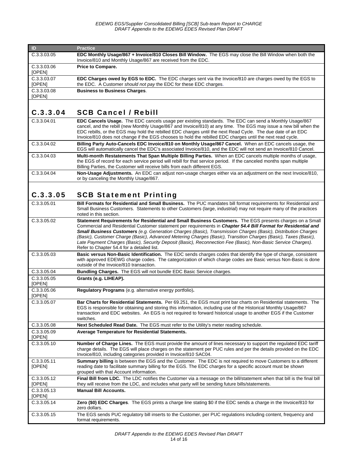*EDEWG EGS/Supplier Consolidated Billing [SCB] Sub-team Report to CHARGE DRAFT Appendix to the EDEWG EDES Revised Plan DRAFT* 

| ID                    | <b>Practice</b>                                                                                                                                                                     |
|-----------------------|-------------------------------------------------------------------------------------------------------------------------------------------------------------------------------------|
| C.3.3.03.05           | EDC Monthly Usage/867 + Invoice/810 Closes Bill Window. The EGS may close the Bill Window when both the<br>Invoice/810 and Monthly Usage/867 are received from the EDC.             |
| C.3.3.03.06<br>[OPEN] | Price to Compare.                                                                                                                                                                   |
| C.3.3.03.07<br>[OPEN] | <b>EDC Charges owed by EGS to EDC.</b> The EDC charges sent via the Invoice/810 are charges owed by the EGS to<br>the EDC. A Customer should not pay the EDC for these EDC charges. |
| C.3.3.03.08<br>[OPEN] | <b>Business to Business Charges.</b>                                                                                                                                                |

#### C.3.3.04 SCB Cancel / Rebill

| C.3.3.04.01 | <b>EDC Cancels Usage.</b> The EDC cancels usage per existing standards. The EDC can send a Monthly Usage/867<br>cancel, and the rebill (new Monthly Usage/867 and Invoice/810) at any time. The EGS may issue a new bill when the<br>EDC rebills, or the EGS may hold the rebilled EDC charges until the next Read Cycle. The due date of an EDC<br>Invoice/810 does not change if the EGS chooses to hold the rebilled EDC charges until the next read cycle. |
|-------------|----------------------------------------------------------------------------------------------------------------------------------------------------------------------------------------------------------------------------------------------------------------------------------------------------------------------------------------------------------------------------------------------------------------------------------------------------------------|
| C.3.3.04.02 | Billing Party Auto-Cancels EDC Invoice/810 on Monthly Usage/867 Cancel. When an EDC cancels usage, the<br>EGS will automatically cancel the EDC's associated Invoice/810, and the EDC will not send an Invoice/810 Cancel.                                                                                                                                                                                                                                     |
| C.3.3.04.03 | Multi-month Restatements That Span Multiple Billing Parties. When an EDC cancels multiple months of usage,<br>the EGS of record for each service period will rebill for that service period. If the canceled months span multiple<br>Billing Parties, the Customer will receive bills from each different EGS.                                                                                                                                                 |
| C.3.3.04.04 | Non-Usage Adjustments. An EDC can adjust non-usage charges either via an adjustment on the next Invoice/810,<br>or by canceling the Monthly Usage/867.                                                                                                                                                                                                                                                                                                         |

#### C.3.3.05 SCB Statement Printing

| C.3.3.05.01           | <b>Bill Formats for Residential and Small Business.</b> The PUC mandates bill format requirements for Residential and<br>Small Business Customers. Statements to other Customers (large, industrial) may not require many of the practices<br>noted in this section.                                                                                                                                                                                                                                                                                                                                                          |
|-----------------------|-------------------------------------------------------------------------------------------------------------------------------------------------------------------------------------------------------------------------------------------------------------------------------------------------------------------------------------------------------------------------------------------------------------------------------------------------------------------------------------------------------------------------------------------------------------------------------------------------------------------------------|
| C.3.3.05.02           | Statement Requirements for Residential and Small Business Customers. The EGS presents charges on a Small<br>Commercial and Residential Customer statement per requirements in Chapter 54.4 Bill Format for Residential and<br>Small Business Customers (e.g. Generation Charges (Basic), Transmission Charges (Basic), Distribution Charges<br>(Basic), Customer Charge (Basic), Advanced Metering Charges (Basic), Transition Charges (Basic), Taxes (Basic),<br>Late Payment Charges (Basic), Security Deposit (Basic), Reconnection Fee (Basic), Non-Basic Service Charges).<br>Refer to Chapter 54.4 for a detailed list. |
| C.3.3.05.03           | Basic versus Non-Basic Identification. The EDC sends charges codes that identify the type of charge, consistent<br>with approved EDEWG charge codes. The categorization of which charge codes are Basic versus Non-Basic is done<br>outside of the Invoice/810 transaction.                                                                                                                                                                                                                                                                                                                                                   |
| C.3.3.05.04           | Bundling Charges. The EGS will not bundle EDC Basic Service charges.                                                                                                                                                                                                                                                                                                                                                                                                                                                                                                                                                          |
| C.3.3.05.05<br>[OPEN] | Grants (e.g. LIHEAP).                                                                                                                                                                                                                                                                                                                                                                                                                                                                                                                                                                                                         |
| C.3.3.05.06<br>[OPEN] | Requiatory Programs (e.g. alternative energy portfolio).                                                                                                                                                                                                                                                                                                                                                                                                                                                                                                                                                                      |
| C.3.3.05.07           | Bar Charts for Residential Statements. Per 69.251, the EGS must print bar charts on Residential statements. The<br>EGS is responsible for obtaining and storing this information, including use of the Historical Monthly Usage/867<br>transaction and EDC websites. An EGS is not required to forward historical usage to another EGS if the Customer<br>switches.                                                                                                                                                                                                                                                           |
| C.3.3.05.08           | Next Scheduled Read Date. The EGS must refer to the Utility's meter reading schedule.                                                                                                                                                                                                                                                                                                                                                                                                                                                                                                                                         |
| C.3.3.05.09<br>[OPEN] | Average Temperature for Residential Statements.                                                                                                                                                                                                                                                                                                                                                                                                                                                                                                                                                                               |
| C.3.3.05.10           | Number of Charge Lines. The EGS must provide the amount of lines necessary to support the regulated EDC tariff<br>charge details. The EGS will place charges on the statement per PUC rules and per the details provided on the EDC<br>Invoice/810, including categories provided in Invoice/810 SAC04.                                                                                                                                                                                                                                                                                                                       |
| C.3.3.05.11<br>[OPEN] | Summary billing is between the EGS and the Customer. The EDC is not required to move Customers to a different<br>reading date to facilitate summary billing for the EGS. The EDC charges for a specific account must be shown<br>grouped with that Account information.                                                                                                                                                                                                                                                                                                                                                       |
| C.3.3.05.12<br>[OPEN] | Final Bill from LDC. The LDC notifies the Customer via a message on the bill/statement when that bill is the final bill<br>they will receive from the LDC, and includes what party will be sending future bills/statements.                                                                                                                                                                                                                                                                                                                                                                                                   |
| C.3.3.05.13<br>[OPEN] | <b>Manual Bill Accounts.</b>                                                                                                                                                                                                                                                                                                                                                                                                                                                                                                                                                                                                  |
| C.3.3.05.14           | Zero (\$0) EDC Charges. The EGS prints a charge line stating \$0 if the EDC sends a charge in the Invoice/810 for<br>zero dollars.                                                                                                                                                                                                                                                                                                                                                                                                                                                                                            |
| C.3.3.05.15           | The EGS sends PUC regulatory bill inserts to the Customer, per PUC regulations including content, frequency and<br>format requirements.                                                                                                                                                                                                                                                                                                                                                                                                                                                                                       |
|                       |                                                                                                                                                                                                                                                                                                                                                                                                                                                                                                                                                                                                                               |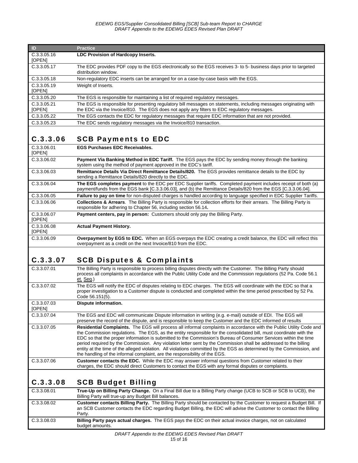| ID                    | <b>Practice</b>                                                                                                                                                                                                  |
|-----------------------|------------------------------------------------------------------------------------------------------------------------------------------------------------------------------------------------------------------|
| C.3.3.05.16<br>[OPEN] | <b>LDC Provision of Hardcopy Inserts.</b>                                                                                                                                                                        |
| C.3.3.05.17           | The EDC provides PDF copy to the EGS electronically so the EGS receives 3- to 5- business days prior to targeted<br>distribution window.                                                                         |
| C.3.3.05.18           | Non-regulatory EDC inserts can be arranged for on a case-by-case basis with the EGS.                                                                                                                             |
| C.3.3.05.19<br>[OPEN] | Weight of Inserts.                                                                                                                                                                                               |
| C.3.3.05.20           | The EGS is responsible for maintaining a list of required regulatory messages.                                                                                                                                   |
| C.3.3.05.21<br>[OPEN] | The EGS is responsible for presenting regulatory bill messages on statements, including messages originating with<br>the EDC via the Invoice/810. The EGS does not apply any filters to EDC regulatory messages. |
| C.3.3.05.22           | The EGS contacts the EDC for regulatory messages that require EDC information that are not provided.                                                                                                             |
| C.3.3.05.23           | The EDC sends regulatory messages via the Invoice/810 transaction.                                                                                                                                               |

#### C.3.3.06 SCB Payments to EDC

| C.3.3.06.01<br>[OPEN] | <b>EGS Purchases EDC Receivables.</b>                                                                                                                                                                                          |
|-----------------------|--------------------------------------------------------------------------------------------------------------------------------------------------------------------------------------------------------------------------------|
| C.3.3.06.02           | Payment Via Banking Method in EDC Tariff. The EGS pays the EDC by sending money through the banking<br>system using the method of payment approved in the EDC's tariff.                                                        |
| C.3.3.06.03           | Remittance Details Via Direct Remittance Details/820. The EGS provides remittance details to the EDC by<br>sending a Remittance Details/820 directly to the EDC.                                                               |
| C.3.3.06.04           | The EGS completes payment to the EDC per EDC Supplier tariffs. Completed payment includes receipt of both (a)<br>payment/funds from the EGS bank [C.3.3.06.03], and (b) the Remittance Details/820 from the EGS [C.3.3.06.04]. |
| C.3.3.06.05           | Failure to pay on time for non-disputed charges is handled according to language specified in EDC Supplier Tariffs.                                                                                                            |
| C.3.3.06.06           | <b>Collections &amp; Arrears.</b> The Billing Party is responsible for collection efforts for their arrears. The Billing Party is<br>responsible for adhering to Chapter 56, including section 56.14.                          |
| C.3.3.06.07<br>[OPEN] | Payment centers, pay in person: Customers should only pay the Billing Party.                                                                                                                                                   |
| C.3.3.06.08<br>[OPEN] | <b>Actual Payment History.</b>                                                                                                                                                                                                 |
| C.3.3.06.09           | Overpayment by EGS to EDC. When an EGS overpays the EDC creating a credit balance, the EDC will reflect this<br>overpayment as a credit on the next Invoice/810 from the EDC.                                                  |

#### C.3.3.07 SCB Disputes & Complaints

| C.3.3.07.01           | The Billing Party is responsible to process billing disputes directly with the Customer. The Billing Party should<br>process all complaints in accordance with the Public Utility Code and the Commission regulations (52 Pa. Code 56.1<br>et. Seq.)                                                                                                                                                                                                                                                                                                                                                                                                                                    |
|-----------------------|-----------------------------------------------------------------------------------------------------------------------------------------------------------------------------------------------------------------------------------------------------------------------------------------------------------------------------------------------------------------------------------------------------------------------------------------------------------------------------------------------------------------------------------------------------------------------------------------------------------------------------------------------------------------------------------------|
| C.3.3.07.02           | The EGS will notify the EDC of disputes relating to EDC charges. The EGS will coordinate with the EDC so that a<br>proper investigation to a Customer dispute is conducted and completed within the time period prescribed by 52 Pa.<br>Code 56.151(5).                                                                                                                                                                                                                                                                                                                                                                                                                                 |
| C.3.3.07.03<br>[OPEN] | Dispute information.                                                                                                                                                                                                                                                                                                                                                                                                                                                                                                                                                                                                                                                                    |
| C.3.3.07.04           | The EGS and EDC will communicate Dispute information in writing (e.g. e-mail) outside of EDI. The EGS will<br>preserve the record of the dispute, and is responsible to keep the Customer and the EDC informed of results                                                                                                                                                                                                                                                                                                                                                                                                                                                               |
| C.3.3.07.05           | Residential Complaints. The EGS will process all informal complaints in accordance with the Public Utility Code and<br>the Commission regulations. The EGS, as the entity responsible for the consolidated bill, must coordinate with the<br>EDC so that the proper information is submitted to the Commission's Bureau of Consumer Services within the time<br>period required by the Commission. Any violation letter sent by the Commission shall be addressed to the billing<br>entity at the time of the alleged violation. All violations committed by the EGS as determined by the Commission, and<br>the handling of the informal complaint, are the responsibility of the EGS. |
| C.3.3.07.06           | <b>Customer contacts the EDC.</b> While the EDC may answer informal questions from Customer related to their<br>charges, the EDC should direct Customers to contact the EGS with any formal disputes or complaints.                                                                                                                                                                                                                                                                                                                                                                                                                                                                     |
|                       |                                                                                                                                                                                                                                                                                                                                                                                                                                                                                                                                                                                                                                                                                         |

#### C.3.3.08 SCB Budget Billing

| C.3.3.08.01 | True-Up on Billing Party Change. On a Final Bill due to a Billing Party change (UCB to SCB or SCB to UCB), the<br>Billing Party will true-up any Budget Bill balances.                                                                              |
|-------------|-----------------------------------------------------------------------------------------------------------------------------------------------------------------------------------------------------------------------------------------------------|
| C.3.3.08.02 | Customer contacts Billing Party. The Billing Party should be contacted by the Customer to request a Budget Bill. If<br>an SCB Customer contacts the EDC regarding Budget Billing, the EDC will advise the Customer to contact the Billing<br>Party. |
| C.3.3.08.03 | <b>Billing Party pays actual charges.</b> The EGS pays the EDC on their actual invoice charges, not on calculated<br>budget amounts.                                                                                                                |